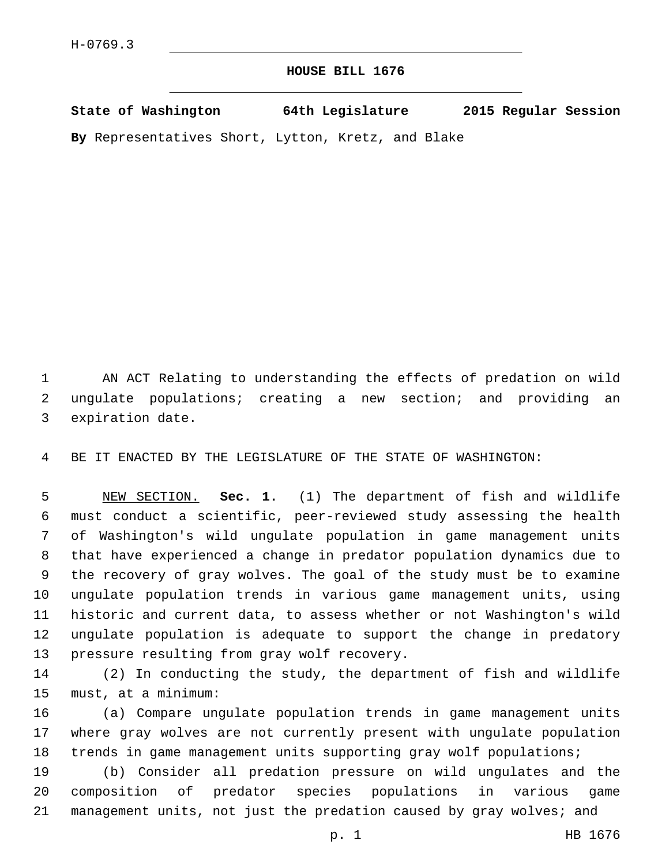## **HOUSE BILL 1676**

| State of Washington                                                                                                                      | 64th Legislature           | 2015 Regular Session |  |
|------------------------------------------------------------------------------------------------------------------------------------------|----------------------------|----------------------|--|
| $\mathbf{D}$ -- $D$ and $\mathbf{A}$ and $\mathbf{A}$ $\mathbf{A}$ is a $\mathbf{A}$ $\mathbf{A}$ $\mathbf{A}$ $\mathbf{A}$ $\mathbf{A}$ | T--ttess Treat- and Dlales |                      |  |

**By** Representatives Short, Lytton, Kretz, and Blake

 AN ACT Relating to understanding the effects of predation on wild ungulate populations; creating a new section; and providing an 3 expiration date.

BE IT ENACTED BY THE LEGISLATURE OF THE STATE OF WASHINGTON:

 NEW SECTION. **Sec. 1.** (1) The department of fish and wildlife must conduct a scientific, peer-reviewed study assessing the health of Washington's wild ungulate population in game management units that have experienced a change in predator population dynamics due to the recovery of gray wolves. The goal of the study must be to examine ungulate population trends in various game management units, using historic and current data, to assess whether or not Washington's wild ungulate population is adequate to support the change in predatory pressure resulting from gray wolf recovery.

 (2) In conducting the study, the department of fish and wildlife 15 must, at a minimum:

 (a) Compare ungulate population trends in game management units where gray wolves are not currently present with ungulate population trends in game management units supporting gray wolf populations;

 (b) Consider all predation pressure on wild ungulates and the composition of predator species populations in various game 21 management units, not just the predation caused by gray wolves; and